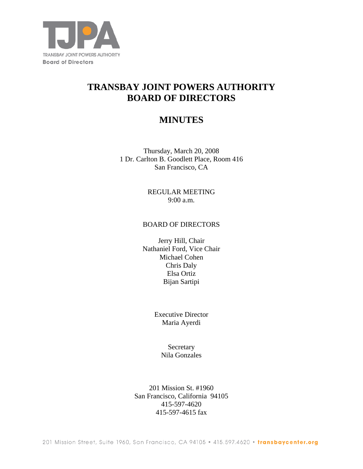

# **TRANSBAY JOINT POWERS AUTHORITY BOARD OF DIRECTORS**

## **MINUTES**

Thursday, March 20, 2008 1 Dr. Carlton B. Goodlett Place, Room 416 San Francisco, CA

> REGULAR MEETING 9:00 a.m.

#### BOARD OF DIRECTORS

Jerry Hill, Chair Nathaniel Ford, Vice Chair Michael Cohen Chris Daly Elsa Ortiz Bijan Sartipi

> Executive Director Maria Ayerdi

> > Secretary Nila Gonzales

201 Mission St. #1960 San Francisco, California 94105 415-597-4620 415-597-4615 fax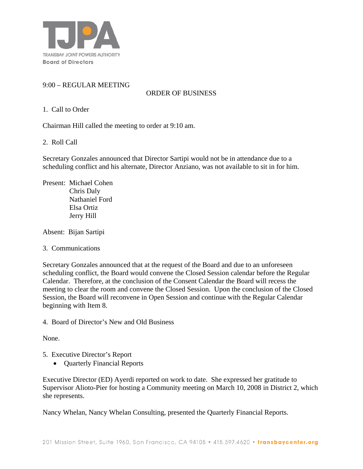

## 9:00 – REGULAR MEETING

## ORDER OF BUSINESS

#### 1. Call to Order

Chairman Hill called the meeting to order at 9:10 am.

#### 2. Roll Call

Secretary Gonzales announced that Director Sartipi would not be in attendance due to a scheduling conflict and his alternate, Director Anziano, was not available to sit in for him.

Present: Michael Cohen Chris Daly Nathaniel Ford Elsa Ortiz Jerry Hill

Absent: Bijan Sartipi

#### 3. Communications

Secretary Gonzales announced that at the request of the Board and due to an unforeseen scheduling conflict*,* the Board would convene the Closed Session calendar before the Regular Calendar. Therefore, at the conclusion of the Consent Calendar the Board will recess the meeting to clear the room and convene the Closed Session. Upon the conclusion of the Closed Session, the Board will reconvene in Open Session and continue with the Regular Calendar beginning with Item 8.

4. Board of Director's New and Old Business

None.

- 5. Executive Director's Report
	- Quarterly Financial Reports

Executive Director (ED) Ayerdi reported on work to date. She expressed her gratitude to Supervisor Alioto-Pier for hosting a Community meeting on March 10, 2008 in District 2, which she represents.

Nancy Whelan, Nancy Whelan Consulting, presented the Quarterly Financial Reports.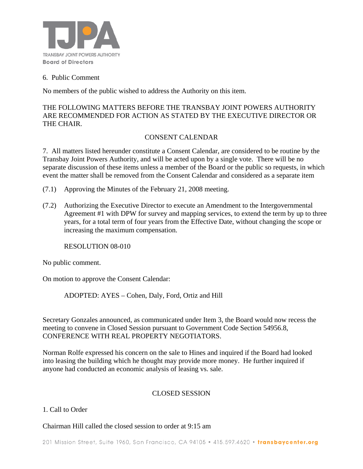

#### 6. Public Comment

No members of the public wished to address the Authority on this item.

## THE FOLLOWING MATTERS BEFORE THE TRANSBAY JOINT POWERS AUTHORITY ARE RECOMMENDED FOR ACTION AS STATED BY THE EXECUTIVE DIRECTOR OR THE CHAIR.

### CONSENT CALENDAR

7. All matters listed hereunder constitute a Consent Calendar, are considered to be routine by the Transbay Joint Powers Authority, and will be acted upon by a single vote. There will be no separate discussion of these items unless a member of the Board or the public so requests, in which event the matter shall be removed from the Consent Calendar and considered as a separate item

- (7.1) Approving the Minutes of the February 21, 2008 meeting.
- (7.2) Authorizing the Executive Director to execute an Amendment to the Intergovernmental Agreement #1 with DPW for survey and mapping services, to extend the term by up to three years, for a total term of four years from the Effective Date, without changing the scope or increasing the maximum compensation.

RESOLUTION 08-010

No public comment.

On motion to approve the Consent Calendar:

ADOPTED: AYES – Cohen, Daly, Ford, Ortiz and Hill

Secretary Gonzales announced, as communicated under Item 3, the Board would now recess the meeting to convene in Closed Session pursuant to Government Code Section 54956.8, CONFERENCE WITH REAL PROPERTY NEGOTIATORS.

Norman Rolfe expressed his concern on the sale to Hines and inquired if the Board had looked into leasing the building which he thought may provide more money. He further inquired if anyone had conducted an economic analysis of leasing vs. sale.

### CLOSED SESSION

### 1. Call to Order

Chairman Hill called the closed session to order at 9:15 am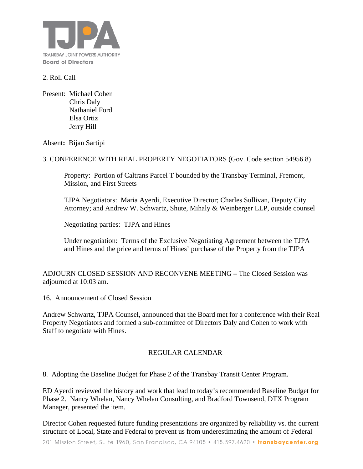

#### 2. Roll Call

Present: Michael Cohen Chris Daly Nathaniel Ford Elsa Ortiz Jerry Hill

Absent**:** Bijan Sartipi

3. CONFERENCE WITH REAL PROPERTY NEGOTIATORS (Gov. Code section 54956.8)

 Property: Portion of Caltrans Parcel T bounded by the Transbay Terminal, Fremont, Mission, and First Streets

TJPA Negotiators: Maria Ayerdi, Executive Director; Charles Sullivan, Deputy City Attorney; and Andrew W. Schwartz, Shute, Mihaly & Weinberger LLP, outside counsel

Negotiating parties: TJPA and Hines

Under negotiation: Terms of the Exclusive Negotiating Agreement between the TJPA and Hines and the price and terms of Hines' purchase of the Property from the TJPA

ADJOURN CLOSED SESSION AND RECONVENE MEETING **–** The Closed Session was adjourned at 10:03 am.

16. Announcement of Closed Session

Andrew Schwartz, TJPA Counsel, announced that the Board met for a conference with their Real Property Negotiators and formed a sub-committee of Directors Daly and Cohen to work with Staff to negotiate with Hines.

### REGULAR CALENDAR

8. Adopting the Baseline Budget for Phase 2 of the Transbay Transit Center Program.

ED Ayerdi reviewed the history and work that lead to today's recommended Baseline Budget for Phase 2. Nancy Whelan, Nancy Whelan Consulting, and Bradford Townsend, DTX Program Manager, presented the item.

Director Cohen requested future funding presentations are organized by reliability vs. the current structure of Local, State and Federal to prevent us from underestimating the amount of Federal

201 Mission Street, Suite 1960, San Francisco, CA 94105 • 415.597.4620 • transbaycenter.org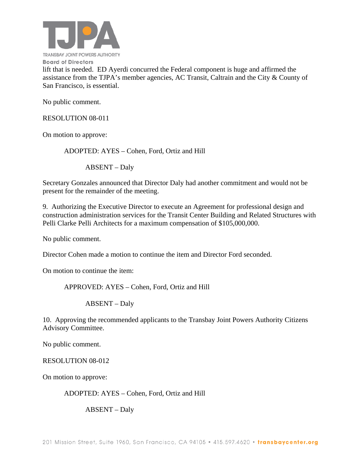

lift that is needed. ED Ayerdi concurred the Federal component is huge and affirmed the assistance from the TJPA's member agencies, AC Transit, Caltrain and the City & County of San Francisco, is essential.

No public comment.

RESOLUTION 08-011

On motion to approve:

ADOPTED: AYES – Cohen, Ford, Ortiz and Hill

ABSENT – Daly

Secretary Gonzales announced that Director Daly had another commitment and would not be present for the remainder of the meeting.

9. Authorizing the Executive Director to execute an Agreement for professional design and construction administration services for the Transit Center Building and Related Structures with Pelli Clarke Pelli Architects for a maximum compensation of \$105,000,000.

No public comment.

Director Cohen made a motion to continue the item and Director Ford seconded.

On motion to continue the item:

APPROVED: AYES – Cohen, Ford, Ortiz and Hill

ABSENT – Daly

10. Approving the recommended applicants to the Transbay Joint Powers Authority Citizens Advisory Committee.

No public comment.

RESOLUTION 08-012

On motion to approve:

ADOPTED: AYES – Cohen, Ford, Ortiz and Hill

ABSENT – Daly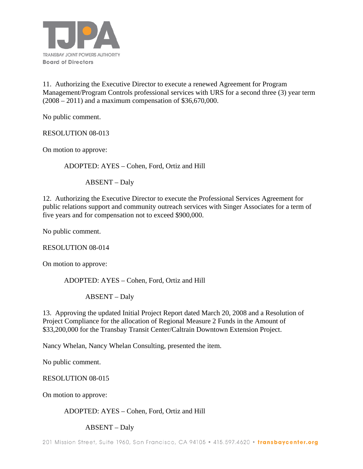

11. Authorizing the Executive Director to execute a renewed Agreement for Program Management/Program Controls professional services with URS for a second three (3) year term (2008 – 2011) and a maximum compensation of \$36,670,000.

No public comment.

RESOLUTION 08-013

On motion to approve:

ADOPTED: AYES – Cohen, Ford, Ortiz and Hill

ABSENT – Daly

12. Authorizing the Executive Director to execute the Professional Services Agreement for public relations support and community outreach services with Singer Associates for a term of five years and for compensation not to exceed \$900,000.

No public comment.

RESOLUTION 08-014

On motion to approve:

ADOPTED: AYES – Cohen, Ford, Ortiz and Hill

ABSENT – Daly

13. Approving the updated Initial Project Report dated March 20, 2008 and a Resolution of Project Compliance for the allocation of Regional Measure 2 Funds in the Amount of \$33,200,000 for the Transbay Transit Center/Caltrain Downtown Extension Project.

Nancy Whelan, Nancy Whelan Consulting, presented the item.

No public comment.

RESOLUTION 08-015

On motion to approve:

ADOPTED: AYES – Cohen, Ford, Ortiz and Hill

ABSENT – Daly